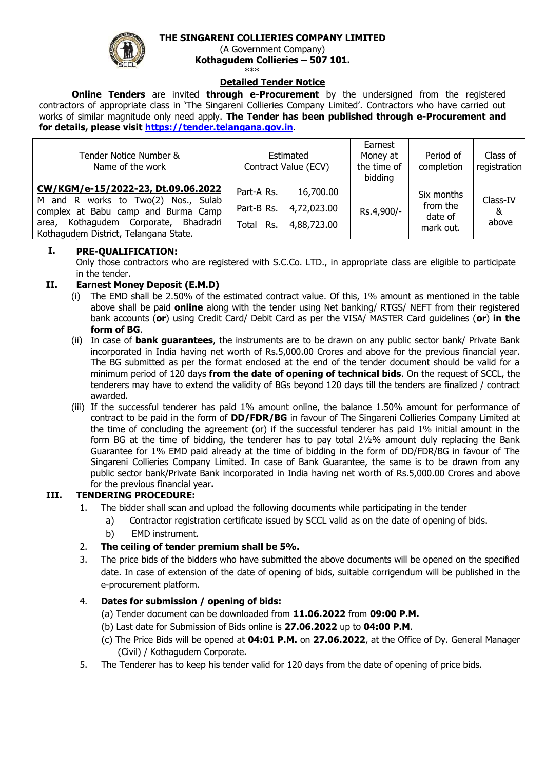# **THE SINGARENI COLLIERIES COMPANY LIMITED**



(A Government Company) **Kothagudem Collieries – 507 101.**

\*\*\*

# **Detailed Tender Notice**

**Online Tenders** are invited **through e-Procurement** by the undersigned from the registered contractors of appropriate class in 'The Singareni Collieries Company Limited'. Contractors who have carried out works of similar magnitude only need apply. **The Tender has been published through e-Procurement and for details, please visit [https://tender.telangana.gov.in](https://tender.telangana.gov.in/)**.

| Tender Notice Number &<br>Name of the work                                                                                                                                                            |                                          | Estimated<br>Contract Value (ECV)       | Earnest<br>Money at<br>the time of<br>bidding | Period of<br>completion                        | Class of<br>registration |
|-------------------------------------------------------------------------------------------------------------------------------------------------------------------------------------------------------|------------------------------------------|-----------------------------------------|-----------------------------------------------|------------------------------------------------|--------------------------|
| CW/KGM/e-15/2022-23, Dt.09.06.2022<br>M and R works to Two(2) Nos., Sulab<br>complex at Babu camp and Burma Camp<br>Kothagudem Corporate, Bhadradri<br>area,<br>Kothagudem District, Telangana State. | Part-A Rs.<br>Part-B Rs.<br>Rs.<br>Total | 16,700.00<br>4,72,023.00<br>4,88,723.00 | Rs.4,900/-                                    | Six months<br>from the<br>date of<br>mark out. | Class-IV<br>&<br>above   |

#### **I. PRE-QUALIFICATION:**

Only those contractors who are registered with S.C.Co. LTD., in appropriate class are eligible to participate in the tender.

### **II. Earnest Money Deposit (E.M.D)**

- (i) The EMD shall be 2.50% of the estimated contract value. Of this, 1% amount as mentioned in the table above shall be paid **online** along with the tender using Net banking/ RTGS/ NEFT from their registered bank accounts (**or**) using Credit Card/ Debit Card as per the VISA/ MASTER Card guidelines (**or**) **in the form of BG**.
- (ii) In case of **bank guarantees**, the instruments are to be drawn on any public sector bank/ Private Bank incorporated in India having net worth of Rs.5,000.00 Crores and above for the previous financial year. The BG submitted as per the format enclosed at the end of the tender document should be valid for a minimum period of 120 days **from the date of opening of technical bids**. On the request of SCCL, the tenderers may have to extend the validity of BGs beyond 120 days till the tenders are finalized / contract awarded.
- (iii) If the successful tenderer has paid 1% amount online, the balance 1.50% amount for performance of contract to be paid in the form of **DD/FDR/BG** in favour of The Singareni Collieries Company Limited at the time of concluding the agreement (or) if the successful tenderer has paid 1% initial amount in the form BG at the time of bidding, the tenderer has to pay total 2½% amount duly replacing the Bank Guarantee for 1% EMD paid already at the time of bidding in the form of DD/FDR/BG in favour of The Singareni Collieries Company Limited. In case of Bank Guarantee, the same is to be drawn from any public sector bank/Private Bank incorporated in India having net worth of Rs.5,000.00 Crores and above for the previous financial year**.**

## **III. TENDERING PROCEDURE:**

- 1. The bidder shall scan and upload the following documents while participating in the tender
	- a) Contractor registration certificate issued by SCCL valid as on the date of opening of bids.
	- b) EMD instrument.
- 2. **The ceiling of tender premium shall be 5%.**
- 3. The price bids of the bidders who have submitted the above documents will be opened on the specified date. In case of extension of the date of opening of bids, suitable corrigendum will be published in the e-procurement platform.

## 4. **Dates for submission / opening of bids:**

- (a) Tender document can be downloaded from **11.06.2022** from **09:00 P.M.**
- (b) Last date for Submission of Bids online is **27.06.2022** up to **04:00 P.M**.
- (c) The Price Bids will be opened at **04:01 P.M.** on **27.06.2022**, at the Office of Dy. General Manager (Civil) / Kothagudem Corporate.
- 5. The Tenderer has to keep his tender valid for 120 days from the date of opening of price bids.